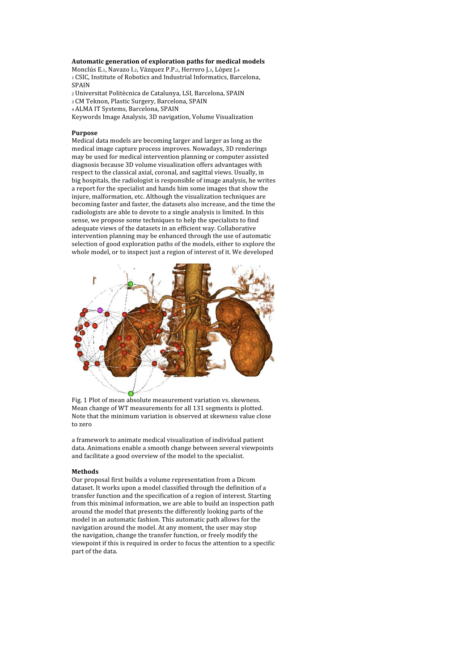## **Automatic
generation
of
exploration
paths
for
medical
models**

Monclús E.1, Navazo I.2, Vázquez P.P.2, Herrero J.3, López J.4 1 CSIC, Institute of Robotics and Industrial Informatics, Barcelona, SPAIN

2
Universitat
Politècnica
de
Catalunya,
LSI,
Barcelona,
SPAIN

3
CM
Teknon,
Plastic
Surgery,
Barcelona,
SPAIN

4
ALMA
IT
Systems,
Barcelona,
SPAIN

Keywords
Image
Analysis,
3D
navigation,
Volume
Visualization

### **Purpose**

Medical
data
models
are
becoming
larger
and
larger
as
long
as
the medical
image
capture
process
improves.
Nowadays,
3D
renderings may
be
used
for
medical
intervention
planning
or
computer
assisted diagnosis
because
3D
volume
visualization
offers
advantages
with respect to the classical axial, coronal, and sagittal views. Usually, in big
hospitals,
the
radiologist
is
responsible
of
image
analysis,
he
writes a report for the specialist and hands him some images that show the injure,
malformation,
etc.
Although
the
visualization
techniques
are becoming
faster
and
faster,
the
datasets
also
increase,
and
the
time
the radiologists are able to devote to a single analysis is limited. In this sense,
we
propose
some
techniques
to
help
the
specialists
to
find adequate
views
of
the
datasets
in
an
efficient
way.
Collaborative intervention
planning
may
be
enhanced
through
the
use
of
automatic selection of good exploration paths of the models, either to explore the whole model, or to inspect just a region of interest of it. We developed



Fig.
1
Plot
of
mean
absolute
measurement
variation
vs.
skewness. Mean
change
of
WT
measurements
for
all
131
segments
is
plotted. Note that the minimum variation is observed at skewness value close to
zero

a
framework
to
animate
medical
visualization
of
individual
patient data.
Animations
enable
a
smooth
change
between
several
viewpoints and
facilitate
a
good
overview
of
the
model
to
the
specialist.

### **Methods**

Our
proposal
first
builds
a
volume
representation
from
a
Dicom dataset. It works upon a model classified through the definition of a transfer
function
and
the
specification
of
a
region
of
interest.
Starting from this minimal information, we are able to build an inspection path around
the
model
that
presents
the
differently
looking
parts
of
the model
in
an
automatic
fashion.
This
automatic
path
allows
for
the navigation
around
the
model.
At
any
moment,
the
user
may
stop the
navigation,
change
the
transfer
function,
or
freely
modify
the viewpoint if this is required in order to focus the attention to a specific part
of
the
data.